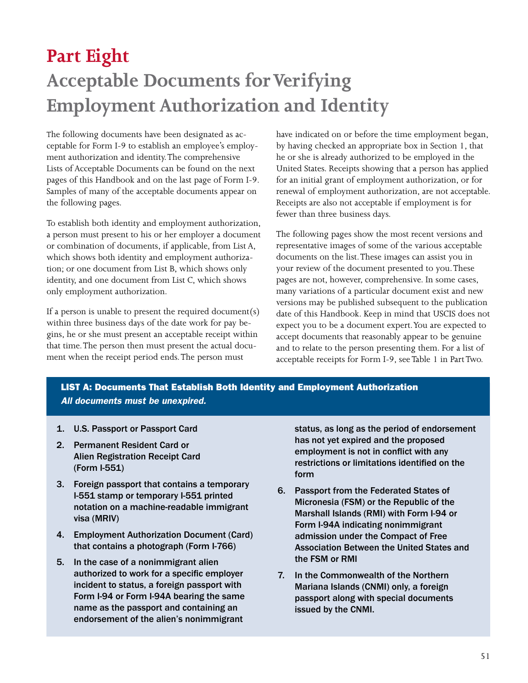## **Part Eight Acceptable Documents for Verifying Employment Authorization and Identity**

The following documents have been designated as acceptable for Form I-9 to establish an employee's employment authorization and identity . The comprehensive Lists of Acceptable Documents can be found on the next pages of this Handbook and on the last page of Form I-9 . Samples of many of the acceptable documents appear on the following pages.

To establish both identity and employment authorization, a person must present to his or her employer a document or combination of documents, if applicable, from List A, which shows both identity and employment authorization; or one document from List B, which shows only identity, and one document from List C, which shows only employment authorization.

If a person is unable to present the required document(s) within three business days of the date work for pay begins, he or she must present an acceptable receipt within that time. The person then must present the actual document when the receipt period ends . The person must

have indicated on or before the time employment began, by having checked an appropriate box in Section 1, that he or she is already authorized to be employed in the United States . Receipts showing that a person has applied for an initial grant of employment authorization, or for renewal of employment authorization, are not acceptable. Receipts are also not acceptable if employment is for fewer than three business days.

The following pages show the most recent versions and representative images of some of the various acceptable documents on the list. These images can assist you in your review of the document presented to you . These pages are not, however, comprehensive. In some cases, many variations of a particular document exist and new versions may be published subsequent to the publication date of this Handbook. Keep in mind that USCIS does not expect you to be a document expert. You are expected to accept documents that reasonably appear to be genuine and to relate to the person presenting them . For a list of acceptable receipts for Form I-9, see Table 1 in Part Two.

## LIST A: Documents That Establish Both Identity and Employment Authorization *All documents must be unexpired.*

- 1. U.S. Passport or Passport Card
- 2. Permanent Resident Card or Alien Registration Receipt Card (Form I-551)
- 3. Foreign passport that contains a temporary I-551 stamp or temporary I-551 printed notation on a machine-readable immigrant visa (MRIV)
- 4. Employment Authorization Document (Card) that contains a photograph (Form I-766)
- 5. In the case of a nonimmigrant alien authorized to work for a specific employer incident to status, a foreign passport with Form I-94 or Form I-94A bearing the same name as the passport and containing an endorsement of the alien's nonimmigrant

status, as long as the period of endorsement has not yet expired and the proposed employment is not in conflict with any restrictions or limitations identified on the form

- 6. Passport from the Federated States of Micronesia (FSM) or the Republic of the Marshall Islands (RMI) with Form I-94 or Form I-94A indicating nonimmigrant admission under the Compact of Free Association Between the United States and the FSM or RMI
- 7. In the Commonwealth of the Northern Mariana Islands (CNMI) only, a foreign passport along with special documents issued by the CNMI.